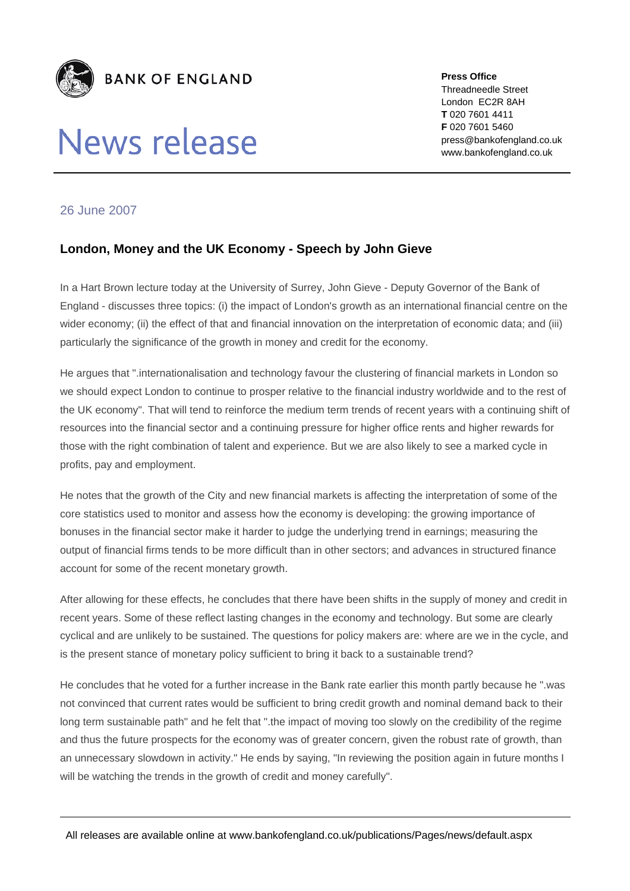

## News release

**Press Office**  Threadneedle Street London EC2R 8AH **T** 020 7601 4411 **F** 020 7601 5460 press@bankofengland.co.uk www.bankofengland.co.uk

## 26 June 2007

## **London, Money and the UK Economy - Speech by John Gieve**

In a Hart Brown lecture today at the University of Surrey, John Gieve - Deputy Governor of the Bank of England - discusses three topics: (i) the impact of London's growth as an international financial centre on the wider economy; (ii) the effect of that and financial innovation on the interpretation of economic data; and (iii) particularly the significance of the growth in money and credit for the economy.

He argues that ".internationalisation and technology favour the clustering of financial markets in London so we should expect London to continue to prosper relative to the financial industry worldwide and to the rest of the UK economy". That will tend to reinforce the medium term trends of recent years with a continuing shift of resources into the financial sector and a continuing pressure for higher office rents and higher rewards for those with the right combination of talent and experience. But we are also likely to see a marked cycle in profits, pay and employment.

He notes that the growth of the City and new financial markets is affecting the interpretation of some of the core statistics used to monitor and assess how the economy is developing: the growing importance of bonuses in the financial sector make it harder to judge the underlying trend in earnings; measuring the output of financial firms tends to be more difficult than in other sectors; and advances in structured finance account for some of the recent monetary growth.

After allowing for these effects, he concludes that there have been shifts in the supply of money and credit in recent years. Some of these reflect lasting changes in the economy and technology. But some are clearly cyclical and are unlikely to be sustained. The questions for policy makers are: where are we in the cycle, and is the present stance of monetary policy sufficient to bring it back to a sustainable trend?

He concludes that he voted for a further increase in the Bank rate earlier this month partly because he ".was not convinced that current rates would be sufficient to bring credit growth and nominal demand back to their long term sustainable path" and he felt that ".the impact of moving too slowly on the credibility of the regime and thus the future prospects for the economy was of greater concern, given the robust rate of growth, than an unnecessary slowdown in activity." He ends by saying, "In reviewing the position again in future months I will be watching the trends in the growth of credit and money carefully".